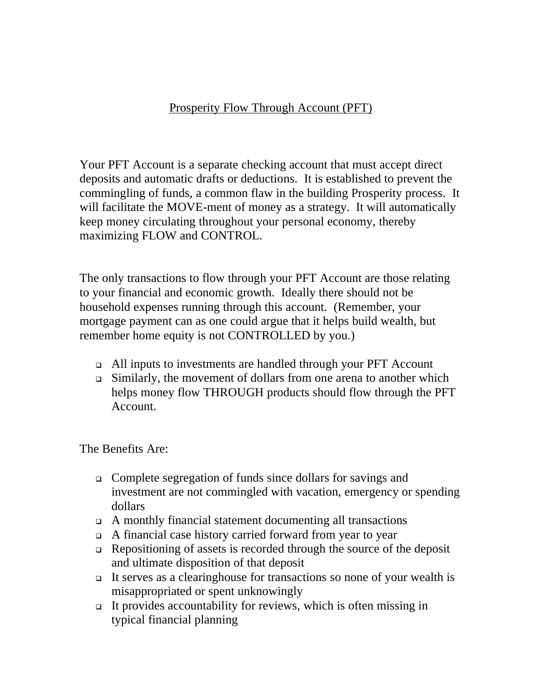## Prosperity Flow Through Account (PFT)

Your PFT Account is a separate checking account that must accept direct deposits and automatic drafts or deductions. It is established to prevent the commingling of funds, a common flaw in the building Prosperity process. It will facilitate the MOVE-ment of money as a strategy. It will automatically keep money circulating throughout your personal economy, thereby maximizing FLOW and CONTROL.

The only transactions to flow through your PFT Account are those relating to your financial and economic growth. Ideally there should not be household expenses running through this account. (Remember, your mortgage payment can as one could argue that it helps build wealth, but remember home equity is not CONTROLLED by you.)

- All inputs to investments are handled through your PFT Account
- Similarly, the movement of dollars from one arena to another which helps money flow THROUGH products should flow through the PFT Account.

The Benefits Are:

- Complete segregation of funds since dollars for savings and investment are not commingled with vacation, emergency or spending dollars
- A monthly financial statement documenting all transactions
- A financial case history carried forward from year to year
- $\Box$  Repositioning of assets is recorded through the source of the deposit and ultimate disposition of that deposit
- It serves as a clearinghouse for transactions so none of your wealth is misappropriated or spent unknowingly
- It provides accountability for reviews, which is often missing in typical financial planning